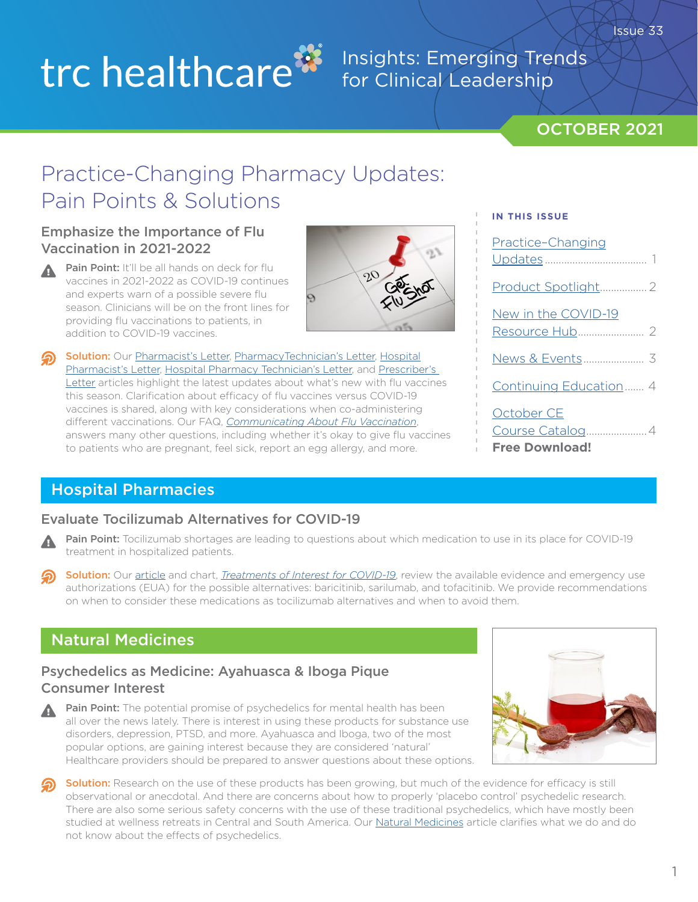# trc healthcare<sup>8</sup>

## Insights: Emerging Trends for Clinical Leadership

## OCTOBER 2021

Issue 33

# Practice-Changing Pharmacy Updates: Pain Points & Solutions

### Emphasize the Importance of Flu Vaccination in 2021-2022

Pain Point: It'll be all hands on deck for flu vaccines in 2021-2022 as COVID-19 continues and experts warn of a possible severe flu season. Clinicians will be on the front lines for providing flu vaccinations to patients, in addition to COVID-19 vaccines.



Solution: Our [Pharmacist's Letter,](https://pharmacist.therapeuticresearch.com/Content/Articles/PL/2021/Oct/Emphasize-the-Importance-of-Flu-Vaccination-in-2021-2022?utm_source=hubspot&utm_medium=email&utm_campaign=october-2021-insights-newsletter) [PharmacyTechnician's Letter,](https://pharmacytech.therapeuticresearch.com/Content/Articles/PTL/2021/Oct/Take-On-a-Bigger-Role-With-Flu-Vaccines-in-2021-2022?utm_source=hubspot&utm_medium=email&utm_campaign=october-2021-insights-newsletter) [Hospital](https://hospital-pharmacist.therapeuticresearch.com/Content/Articles/PLH/2021/Oct/Emphasize-the-Importance-of-Flu-Vaccination-in-2021-2022?utm_source=hubspot&utm_medium=email&utm_campaign=october-2021-insights-newsletter) [Pharmacist's Letter](https://hospital-pharmacist.therapeuticresearch.com/Content/Articles/PLH/2021/Oct/Emphasize-the-Importance-of-Flu-Vaccination-in-2021-2022?utm_source=hubspot&utm_medium=email&utm_campaign=october-2021-insights-newsletter), [Hospital Pharmacy Technician's Letter,](https://hospital-pharmacytech.therapeuticresearch.com/Content/Articles/PTLH/2021/Oct/Gear-Up-to-Dispense-Flu-Vaccines-for-2021-2022?utm_source=hubspot&utm_medium=email&utm_campaign=october-2021-insights-newsletter) and [Prescriber's](https://prescriber.therapeuticresearch.com/Content/Articles/PRL/2021/Oct/Emphasize-the-Importance-of-Flu-Vaccination-in-2021-2022?utm_source=hubspot&utm_medium=email&utm_campaign=october-2021-insights-newsletter)  [Letter](https://prescriber.therapeuticresearch.com/Content/Articles/PRL/2021/Oct/Emphasize-the-Importance-of-Flu-Vaccination-in-2021-2022?utm_source=hubspot&utm_medium=email&utm_campaign=october-2021-insights-newsletter) articles highlight the latest updates about what's new with flu vaccines this season. Clarification about efficacy of flu vaccines versus COVID-19 vaccines is shared, along with key considerations when co-administering different vaccinations. Our FAQ, *[Communicating About Flu Vaccination](https://pharmacist.therapeuticresearch.com/Content/Segments/PRL/2021/Oct/Communicating-About-Flu-Vaccination-S2110002?utm_source=hubspot&utm_medium=email&utm_campaign=october-2021-insights-newsletter)*, answers many other questions, including whether it's okay to give flu vaccines to patients who are pregnant, feel sick, report an egg allergy, and more.

#### **IN THIS ISSUE**

| Practice-Changing                   |
|-------------------------------------|
|                                     |
| New in the COVID-19                 |
|                                     |
| Continuing Education 4              |
| October CE<br><b>Free Download!</b> |

## Hospital Pharmacies

## Evaluate Tocilizumab Alternatives for COVID-19

- Pain Point: Tocilizumab shortages are leading to questions about which medication to use in its place for COVID-19 treatment in hospitalized patients.
- Solution: Our [article](https://pharmacist.therapeuticresearch.com/Content/Articles/PLH/2021/Oct/Evaluate-Tocilizumab-Alternatives-for-COVID-19?utm_source=hubspot&utm_medium=email&utm_campaign=october-2021-insights-newsletter) and chart, *[Treatments of Interest for COVID-19](https://pharmacist.therapeuticresearch.com/content/segments/prl/2020/apr/treatments-of-interest-for-covid-19-s2004008?utm_source=hubspot&utm_medium=email&utm_campaign=october-2021-insights-newsletter)*, review the available evidence and emergency use authorizations (EUA) for the possible alternatives: baricitinib, sarilumab, and tofacitinib. We provide recommendations on when to consider these medications as tocilizumab alternatives and when to avoid them.

## Natural Medicines

## Psychedelics as Medicine: Ayahuasca & Iboga Pique Consumer Interest

Pain Point: The potential promise of psychedelics for mental health has been all over the news lately. There is interest in using these products for substance use disorders, depression, PTSD, and more. Ayahuasca and Iboga, two of the most popular options, are gaining interest because they are considered 'natural' Healthcare providers should be prepared to answer questions about these options.



Solution: Research on the use of these products has been growing, but much of the evidence for efficacy is still observational or anecdotal. And there are concerns about how to properly 'placebo control' psychedelic research. There are also some serious safety concerns with the use of these traditional psychedelics, which have mostly been studied at wellness retreats in Central and South America. Our [Natural Medicines](https://naturalmedicines.therapeuticresearch.com/news/news-items/2021/october/psychedelics-as-medicine-ayahuasca-iboga-pique-consumer-interest.aspx?utm_source=hubspot&utm_medium=email&utm_campaign=october-2021-insights-newsletter) article clarifies what we do and do not know about the effects of psychedelics.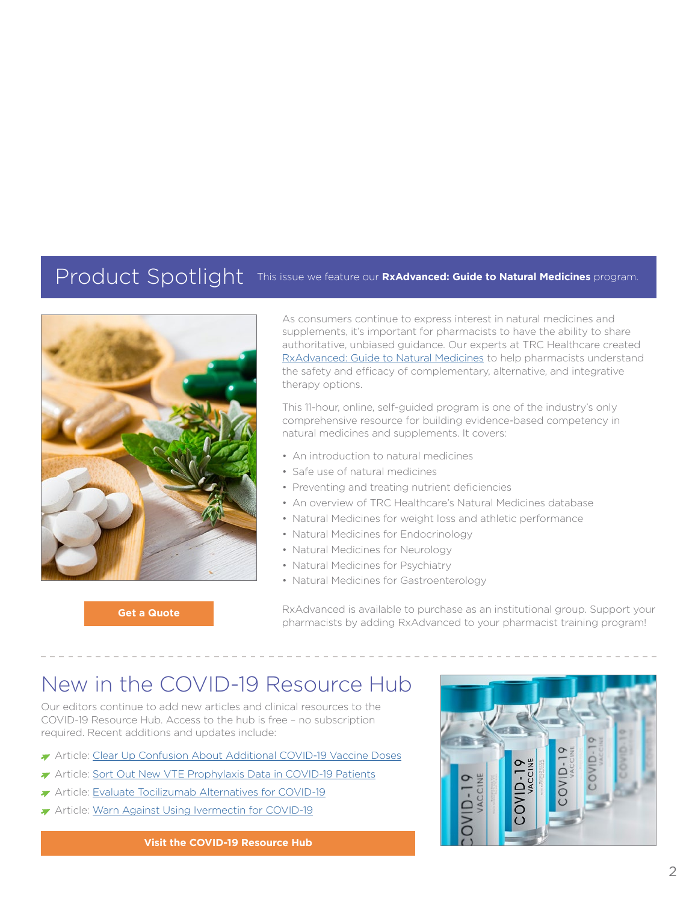## <span id="page-1-0"></span>Product Spotlight This issue we feature our **RxAdvanced: Guide to Natural Medicines** program.



**[Get a Quote](https://info.therapeuticresearch.com/enterprise-quote-request-page?utm_source=hubspot&utm_medium=email&utm_campaign=october-2021-insights-newsletter)**

As consumers continue to express interest in natural medicines and supplements, it's important for pharmacists to have the ability to share authoritative, unbiased guidance. Our experts at TRC Healthcare created [RxAdvanced: Guide to Natural Medicines](https://trchealthcare.com/about-us/products/rxadvanced-guide-to-natural-medicines/?utm_source=hubspot&utm_medium=email&utm_campaign=october-2021-insights-newsletter) to help pharmacists understand the safety and efficacy of complementary, alternative, and integrative therapy options.

This 11-hour, online, self-guided program is one of the industry's only comprehensive resource for building evidence-based competency in natural medicines and supplements. It covers:

- An introduction to natural medicines
- Safe use of natural medicines
- Preventing and treating nutrient deficiencies
- An overview of TRC Healthcare's Natural Medicines database
- Natural Medicines for weight loss and athletic performance
- Natural Medicines for Endocrinology
- Natural Medicines for Neurology
- Natural Medicines for Psychiatry
- Natural Medicines for Gastroenterology

RxAdvanced is available to purchase as an institutional group. Support your pharmacists by adding RxAdvanced to your pharmacist training program!

## New in the COVID-19 Resource Hub

Our editors continue to add new articles and clinical resources to the COVID-19 Resource Hub. Access to the hub is free – no subscription required. Recent additions and updates include:

- Article: [Clear Up Confusion About Additional COVID-19 Vaccine Doses](https://pharmacist.therapeuticresearch.com/Content/Articles/PL/2021/Oct/Clear-Up-Confusion-About-Additional-COVID-19-Vaccine-Doses?utm_source=hubspot&utm_medium=email&utm_campaign=october-2021-insights-newsletter)
- Article: [Sort Out New VTE Prophylaxis Data in COVID-19 Patients](https://pharmacist.therapeuticresearch.com/Content/Articles/PLH/2021/Oct/Sort-Out-New-VTE-Prophylaxis-Data-in-COVID-19-Patients?utm_source=hubspot&utm_medium=email&utm_campaign=october-2021-insights-newsletter)
- Article: [Evaluate Tocilizumab Alternatives for COVID-19](https://pharmacist.therapeuticresearch.com/Content/Articles/PLH/2021/Oct/Evaluate-Tocilizumab-Alternatives-for-COVID-19?utm_source=hubspot&utm_medium=email&utm_campaign=october-2021-insights-newsletter)
- Article: [Warn Against Using Ivermectin for COVID-19](https://pharmacist.therapeuticresearch.com/Content/Articles/PL/2021/Oct/Warn-Against-Using-Ivermectin-for-COVID-19?utm_source=hubspot&utm_medium=email&utm_campaign=october-2021-insights-newsletter)

**[Visit the COVID-19 Resource Hub](https://pharmacist.therapeuticresearch.com/Content/Topic/all/covid-19-Resource-Hub?utm_source=hubspot&utm_medium=email&utm_campaign=october-2021-insights-newsletter )**

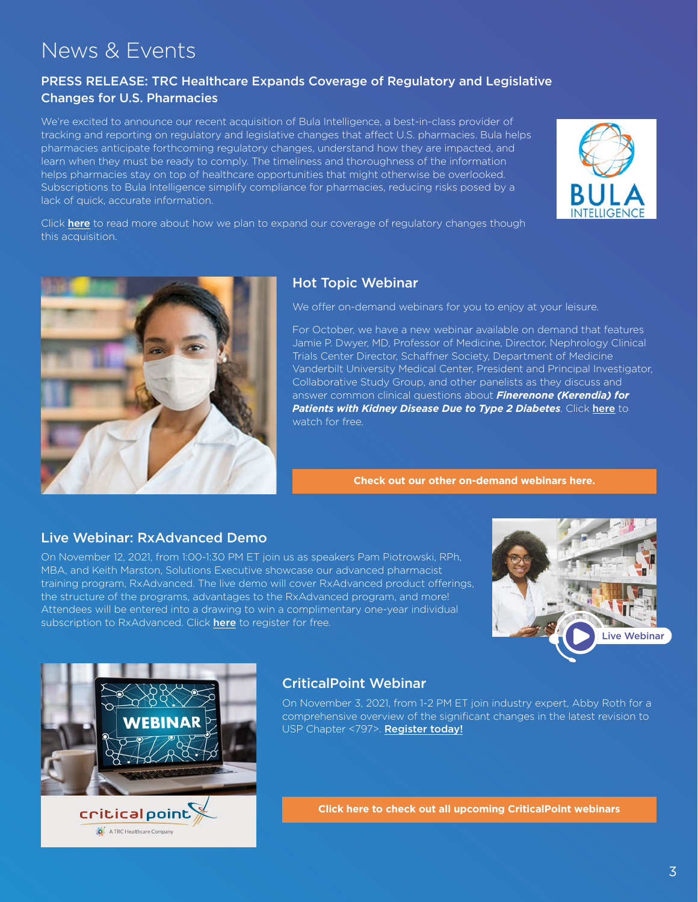## <span id="page-2-0"></span>News & Events

## PRESS RELEASE: TRC Healthcare Expands Coverage of Regulatory and Legislative Changes for U.S. Pharmacies

We're excited to announce our recent acquisition of Bula Intelligence, a best-in-class provider of tracking and reporting on regulatory and legislative changes that affect U.S. pharmacies. Bula helps pharmacies anticipate forthcoming regulatory changes, understand how they are impacted, and learn when they must be ready to comply. The timeliness and thoroughness of the information helps pharmacies stay on top of healthcare opportunities that might otherwise be overlooked. Subscriptions to Bula Intelligence simplify compliance for pharmacies, reducing risks posed by a lack of quick, accurate information.



Click [here](https://trchealthcare.com/trc-healthcare-expands-coverage-of-regulatory-and-legislative-changes-for-u-s-pharmacies/?utm_source=hubspot&utm_medium=email&utm_campaign=https://trchealthcare.com/trc-healthcare-expands-coverage-of-regulatory-and-legislative-changes-for-u-s-pharmacies/?utm_source=hubspot&utm_medium=email&utm_campaign=october-2021-insights-newsletter) to read more about how we plan to expand our coverage of regulatory changes though this acquisition.



## Hot Topic Webinar

We offer on-demand webinars for you to enjoy at your leisure.

For October, we have a new webinar available on demand that features Jamie P. Dwyer, MD, Professor of Medicine, Director, Nephrology Clinical Trials Center Director, Schaffner Society, Department of Medicine Vanderbilt University Medical Center, President and Principal Investigator, Collaborative Study Group, and other panelists as they discuss and answer common clinical questions about *Finerenone (Kerendia) for Patients with Kidney Disease Due to Type 2 Diabetes*. Click [here](https://info.therapeuticresearch.com/finerenone-kerendia-for-patients-with-kidney-disease-due-to-type-2-diabetes?utm_source=hubspot&utm_medium=email&utm_campaign=october-2021-insights-newsletter) to watch for free.

**[Check out our other on-demand webinars here.](https://trchealthcare.com/about-us/news-and-resources/webinars/?utm_source=hubspot&utm_medium=email&utm_campaign=october-2021-insights-newsletter)**

## Live Webinar: RxAdvanced Demo

On November 12, 2021, from 1:00-1:30 PM ET join us as speakers Pam Piotrowski, RPh, MBA, and Keith Marston, Solutions Executive showcase our advanced pharmacist training program, RxAdvanced. The live demo will cover RxAdvanced product offerings, the structure of the programs, advantages to the RxAdvanced program, and more! Attendees will be entered into a drawing to win a complimentary one-year individual subscription to RxAdvanced. Click [here](https://info.therapeuticresearch.com/webinar-rxadvanced-live-demo?utm_source=hubspot&utm_medium=email&utm_campaign=october-2021-insights-newsletter) to register for free.





A TRC Healthcare Company

## CriticalPoint Webinar

On November 3, 2021, from 1-2 PM ET join industry expert, Abby Roth for a comprehensive overview of the significant changes in the latest revision to USP Chapter <797>. [Register today!](https://register.gotowebinar.com/register/9094204028006884876?utm_source=hubspot&utm_medium=email&utm_campaign=october-2021-insights-newsletter)

**[Click here to check out all upcoming CriticalPoint webinars](https://www.criticalpoint.info/activities/?filter-activity-type=1439)**